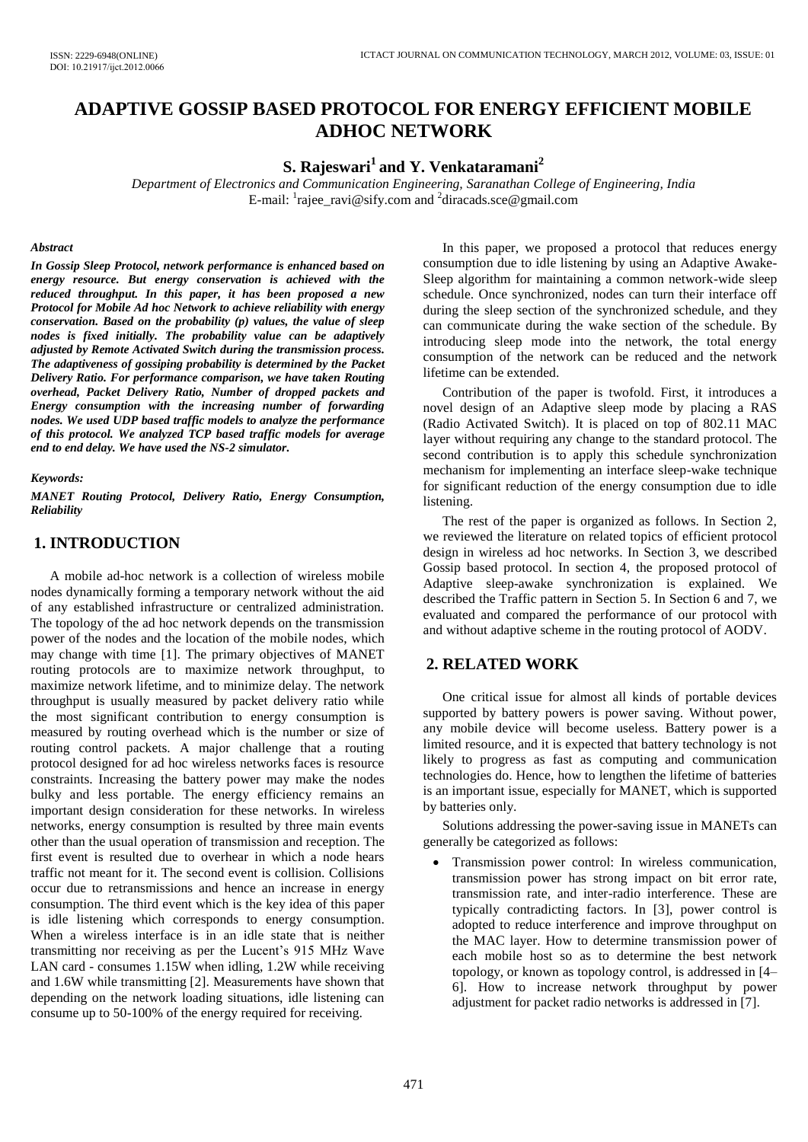# **ADAPTIVE GOSSIP BASED PROTOCOL FOR ENERGY EFFICIENT MOBILE ADHOC NETWORK**

## **S. Rajeswari<sup>1</sup>and Y. Venkataramani<sup>2</sup>**

*Department of Electronics and Communication Engineering, Saranathan College of Engineering, India*  E-mail: <sup>1</sup>[rajee\\_ravi@sify.com](mailto:rajee_ravi@sify.com) and <sup>2</sup>[diracads.sce@gmail.com](mailto:diracads.sce@gmail.com)

#### *Abstract*

*In Gossip Sleep Protocol, network performance is enhanced based on energy resource. But energy conservation is achieved with the reduced throughput. In this paper, it has been proposed a new Protocol for Mobile Ad hoc Network to achieve reliability with energy conservation. Based on the probability (p) values, the value of sleep nodes is fixed initially. The probability value can be adaptively adjusted by Remote Activated Switch during the transmission process. The adaptiveness of gossiping probability is determined by the Packet Delivery Ratio. For performance comparison, we have taken Routing overhead, Packet Delivery Ratio, Number of dropped packets and Energy consumption with the increasing number of forwarding nodes. We used UDP based traffic models to analyze the performance of this protocol. We analyzed TCP based traffic models for average end to end delay. We have used the NS-2 simulator.* 

#### *Keywords:*

*MANET Routing Protocol, Delivery Ratio, Energy Consumption, Reliability* 

## **1. INTRODUCTION**

A mobile ad-hoc network is a collection of wireless mobile nodes dynamically forming a temporary network without the aid of any established infrastructure or centralized administration. The topology of the ad hoc network depends on the transmission power of the nodes and the location of the mobile nodes, which may change with time [1]. The primary objectives of MANET routing protocols are to maximize network throughput, to maximize network lifetime, and to minimize delay. The network throughput is usually measured by packet delivery ratio while the most significant contribution to energy consumption is measured by routing overhead which is the number or size of routing control packets. A major challenge that a routing protocol designed for ad hoc wireless networks faces is resource constraints. Increasing the battery power may make the nodes bulky and less portable. The energy efficiency remains an important design consideration for these networks. In wireless networks, energy consumption is resulted by three main events other than the usual operation of transmission and reception. The first event is resulted due to overhear in which a node hears traffic not meant for it. The second event is collision. Collisions occur due to retransmissions and hence an increase in energy consumption. The third event which is the key idea of this paper is idle listening which corresponds to energy consumption. When a wireless interface is in an idle state that is neither transmitting nor receiving as per the Lucent's 915 MHz Wave LAN card - consumes 1.15W when idling, 1.2W while receiving and 1.6W while transmitting [2]. Measurements have shown that depending on the network loading situations, idle listening can consume up to 50-100% of the energy required for receiving.

In this paper, we proposed a protocol that reduces energy consumption due to idle listening by using an Adaptive Awake-Sleep algorithm for maintaining a common network-wide sleep schedule. Once synchronized, nodes can turn their interface off during the sleep section of the synchronized schedule, and they can communicate during the wake section of the schedule. By introducing sleep mode into the network, the total energy consumption of the network can be reduced and the network lifetime can be extended.

Contribution of the paper is twofold. First, it introduces a novel design of an Adaptive sleep mode by placing a RAS (Radio Activated Switch). It is placed on top of 802.11 MAC layer without requiring any change to the standard protocol. The second contribution is to apply this schedule synchronization mechanism for implementing an interface sleep-wake technique for significant reduction of the energy consumption due to idle listening.

The rest of the paper is organized as follows. In Section 2, we reviewed the literature on related topics of efficient protocol design in wireless ad hoc networks. In Section 3, we described Gossip based protocol. In section 4, the proposed protocol of Adaptive sleep-awake synchronization is explained. We described the Traffic pattern in Section 5. In Section 6 and 7, we evaluated and compared the performance of our protocol with and without adaptive scheme in the routing protocol of AODV.

## **2. RELATED WORK**

One critical issue for almost all kinds of portable devices supported by battery powers is power saving. Without power, any mobile device will become useless. Battery power is a limited resource, and it is expected that battery technology is not likely to progress as fast as computing and communication technologies do. Hence, how to lengthen the lifetime of batteries is an important issue, especially for MANET, which is supported by batteries only.

Solutions addressing the power-saving issue in MANETs can generally be categorized as follows:

 Transmission power control: In wireless communication, transmission power has strong impact on bit error rate, transmission rate, and inter-radio interference. These are typically contradicting factors. In [3], power control is adopted to reduce interference and improve throughput on the MAC layer. How to determine transmission power of each mobile host so as to determine the best network topology, or known as topology control, is addressed in [4– 6]. How to increase network throughput by power adjustment for packet radio networks is addressed in [7].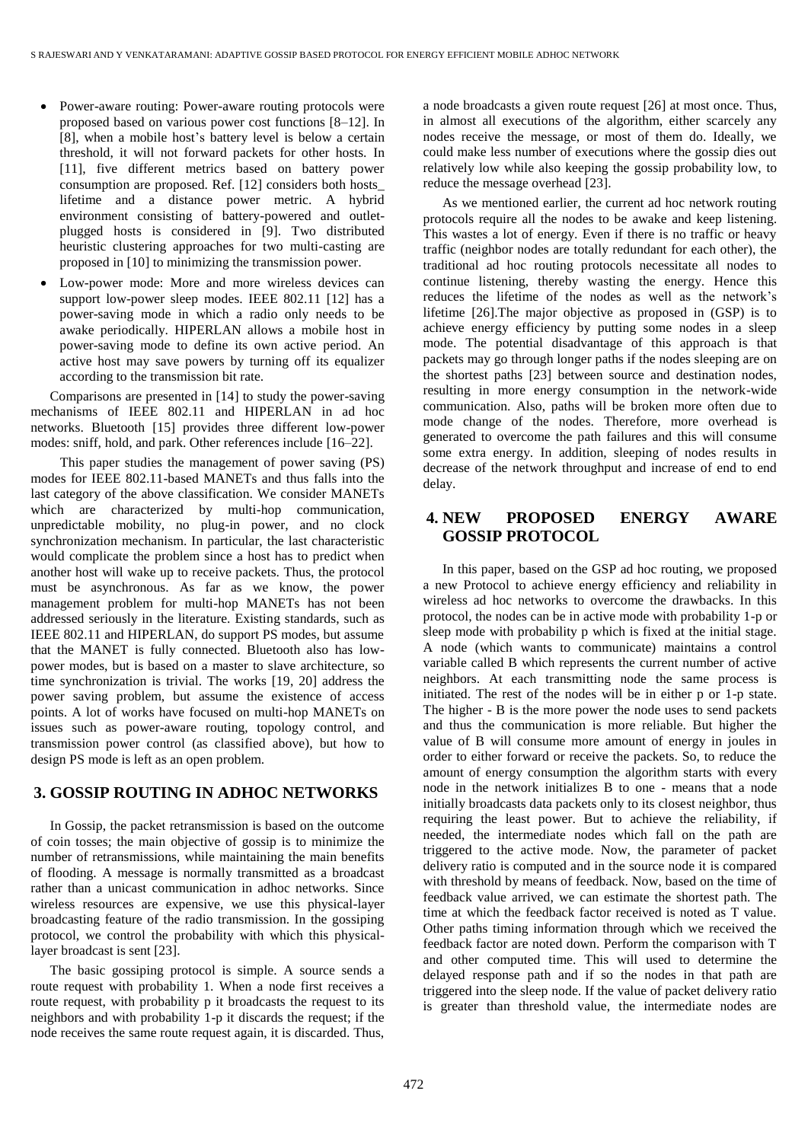- Power-aware routing: Power-aware routing protocols were proposed based on various power cost functions [8–12]. In [8], when a mobile host's battery level is below a certain threshold, it will not forward packets for other hosts. In [11], five different metrics based on battery power consumption are proposed. Ref. [12] considers both hosts\_ lifetime and a distance power metric. A hybrid environment consisting of battery-powered and outletplugged hosts is considered in [9]. Two distributed heuristic clustering approaches for two multi-casting are proposed in [10] to minimizing the transmission power.
- Low-power mode: More and more wireless devices can support low-power sleep modes. IEEE 802.11 [12] has a power-saving mode in which a radio only needs to be awake periodically. HIPERLAN allows a mobile host in power-saving mode to define its own active period. An active host may save powers by turning off its equalizer according to the transmission bit rate.

Comparisons are presented in [14] to study the power-saving mechanisms of IEEE 802.11 and HIPERLAN in ad hoc networks. Bluetooth [15] provides three different low-power modes: sniff, hold, and park. Other references include [16–22].

 This paper studies the management of power saving (PS) modes for IEEE 802.11-based MANETs and thus falls into the last category of the above classification. We consider MANETs which are characterized by multi-hop communication, unpredictable mobility, no plug-in power, and no clock synchronization mechanism. In particular, the last characteristic would complicate the problem since a host has to predict when another host will wake up to receive packets. Thus, the protocol must be asynchronous. As far as we know, the power management problem for multi-hop MANETs has not been addressed seriously in the literature. Existing standards, such as IEEE 802.11 and HIPERLAN, do support PS modes, but assume that the MANET is fully connected. Bluetooth also has lowpower modes, but is based on a master to slave architecture, so time synchronization is trivial. The works [19, 20] address the power saving problem, but assume the existence of access points. A lot of works have focused on multi-hop MANETs on issues such as power-aware routing, topology control, and transmission power control (as classified above), but how to design PS mode is left as an open problem.

## **3. GOSSIP ROUTING IN ADHOC NETWORKS**

In Gossip, the packet retransmission is based on the outcome of coin tosses; the main objective of gossip is to minimize the number of retransmissions, while maintaining the main benefits of flooding. A message is normally transmitted as a broadcast rather than a unicast communication in adhoc networks. Since wireless resources are expensive, we use this physical-layer broadcasting feature of the radio transmission. In the gossiping protocol, we control the probability with which this physicallayer broadcast is sent [23].

The basic gossiping protocol is simple. A source sends a route request with probability 1. When a node first receives a route request, with probability p it broadcasts the request to its neighbors and with probability 1-p it discards the request; if the node receives the same route request again, it is discarded. Thus, a node broadcasts a given route request [26] at most once. Thus, in almost all executions of the algorithm, either scarcely any nodes receive the message, or most of them do. Ideally, we could make less number of executions where the gossip dies out relatively low while also keeping the gossip probability low, to reduce the message overhead [23].

As we mentioned earlier, the current ad hoc network routing protocols require all the nodes to be awake and keep listening. This wastes a lot of energy. Even if there is no traffic or heavy traffic (neighbor nodes are totally redundant for each other), the traditional ad hoc routing protocols necessitate all nodes to continue listening, thereby wasting the energy. Hence this reduces the lifetime of the nodes as well as the network's lifetime [26].The major objective as proposed in (GSP) is to achieve energy efficiency by putting some nodes in a sleep mode. The potential disadvantage of this approach is that packets may go through longer paths if the nodes sleeping are on the shortest paths [23] between source and destination nodes, resulting in more energy consumption in the network-wide communication. Also, paths will be broken more often due to mode change of the nodes. Therefore, more overhead is generated to overcome the path failures and this will consume some extra energy. In addition, sleeping of nodes results in decrease of the network throughput and increase of end to end delay.

## **4. NEW PROPOSED ENERGY AWARE GOSSIP PROTOCOL**

In this paper, based on the GSP ad hoc routing, we proposed a new Protocol to achieve energy efficiency and reliability in wireless ad hoc networks to overcome the drawbacks. In this protocol, the nodes can be in active mode with probability 1-p or sleep mode with probability p which is fixed at the initial stage. A node (which wants to communicate) maintains a control variable called B which represents the current number of active neighbors. At each transmitting node the same process is initiated. The rest of the nodes will be in either p or 1-p state. The higher - B is the more power the node uses to send packets and thus the communication is more reliable. But higher the value of B will consume more amount of energy in joules in order to either forward or receive the packets. So, to reduce the amount of energy consumption the algorithm starts with every node in the network initializes B to one - means that a node initially broadcasts data packets only to its closest neighbor, thus requiring the least power. But to achieve the reliability, if needed, the intermediate nodes which fall on the path are triggered to the active mode. Now, the parameter of packet delivery ratio is computed and in the source node it is compared with threshold by means of feedback. Now, based on the time of feedback value arrived, we can estimate the shortest path. The time at which the feedback factor received is noted as T value. Other paths timing information through which we received the feedback factor are noted down. Perform the comparison with T and other computed time. This will used to determine the delayed response path and if so the nodes in that path are triggered into the sleep node. If the value of packet delivery ratio is greater than threshold value, the intermediate nodes are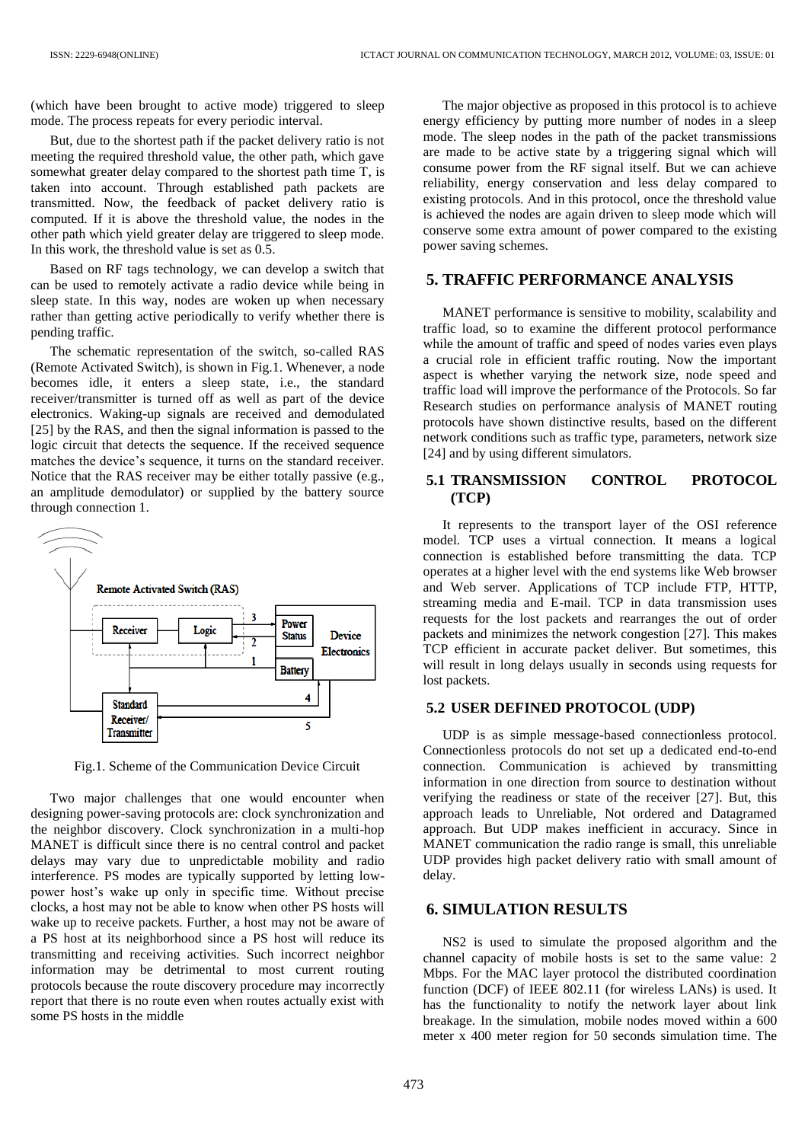(which have been brought to active mode) triggered to sleep mode. The process repeats for every periodic interval.

But, due to the shortest path if the packet delivery ratio is not meeting the required threshold value, the other path, which gave somewhat greater delay compared to the shortest path time T, is taken into account. Through established path packets are transmitted. Now, the feedback of packet delivery ratio is computed. If it is above the threshold value, the nodes in the other path which yield greater delay are triggered to sleep mode. In this work, the threshold value is set as 0.5.

Based on RF tags technology, we can develop a switch that can be used to remotely activate a radio device while being in sleep state. In this way, nodes are woken up when necessary rather than getting active periodically to verify whether there is pending traffic.

The schematic representation of the switch, so-called RAS (Remote Activated Switch), is shown in Fig.1. Whenever, a node becomes idle, it enters a sleep state, i.e., the standard receiver/transmitter is turned off as well as part of the device electronics. Waking-up signals are received and demodulated [25] by the RAS, and then the signal information is passed to the logic circuit that detects the sequence. If the received sequence matches the device's sequence, it turns on the standard receiver. Notice that the RAS receiver may be either totally passive (e.g., an amplitude demodulator) or supplied by the battery source through connection 1.



Fig.1. Scheme of the Communication Device Circuit

Two major challenges that one would encounter when designing power-saving protocols are: clock synchronization and the neighbor discovery. Clock synchronization in a multi-hop MANET is difficult since there is no central control and packet delays may vary due to unpredictable mobility and radio interference. PS modes are typically supported by letting lowpower host's wake up only in specific time. Without precise clocks, a host may not be able to know when other PS hosts will wake up to receive packets. Further, a host may not be aware of a PS host at its neighborhood since a PS host will reduce its transmitting and receiving activities. Such incorrect neighbor information may be detrimental to most current routing protocols because the route discovery procedure may incorrectly report that there is no route even when routes actually exist with some PS hosts in the middle

The major objective as proposed in this protocol is to achieve energy efficiency by putting more number of nodes in a sleep mode. The sleep nodes in the path of the packet transmissions are made to be active state by a triggering signal which will consume power from the RF signal itself. But we can achieve reliability, energy conservation and less delay compared to existing protocols. And in this protocol, once the threshold value is achieved the nodes are again driven to sleep mode which will conserve some extra amount of power compared to the existing power saving schemes.

## **5. TRAFFIC PERFORMANCE ANALYSIS**

MANET performance is sensitive to mobility, scalability and traffic load, so to examine the different protocol performance while the amount of traffic and speed of nodes varies even plays a crucial role in efficient traffic routing. Now the important aspect is whether varying the network size, node speed and traffic load will improve the performance of the Protocols. So far Research studies on performance analysis of MANET routing protocols have shown distinctive results, based on the different network conditions such as traffic type, parameters, network size [24] and by using different simulators.

## **5.1 TRANSMISSION CONTROL PROTOCOL (TCP)**

It represents to the transport layer of the OSI reference model. TCP uses a virtual connection. It means a logical connection is established before transmitting the data. TCP operates at a higher level with the end systems like Web browser and Web server. Applications of TCP include FTP, HTTP, streaming media and E-mail. TCP in data transmission uses requests for the lost packets and rearranges the out of order packets and minimizes the network congestion [27]. This makes TCP efficient in accurate packet deliver. But sometimes, this will result in long delays usually in seconds using requests for lost packets.

#### **5.2 USER DEFINED PROTOCOL (UDP)**

UDP is as simple message-based connectionless protocol. Connectionless protocols do not set up a dedicated end-to-end connection. Communication is achieved by transmitting information in one direction from source to destination without verifying the readiness or state of the receiver [27]. But, this approach leads to Unreliable, Not ordered and Datagramed approach. But UDP makes inefficient in accuracy. Since in MANET communication the radio range is small, this unreliable UDP provides high packet delivery ratio with small amount of delay.

#### **6. SIMULATION RESULTS**

NS2 is used to simulate the proposed algorithm and the channel capacity of mobile hosts is set to the same value: 2 Mbps. For the MAC layer protocol the distributed coordination function (DCF) of IEEE 802.11 (for wireless LANs) is used. It has the functionality to notify the network layer about link breakage. In the simulation, mobile nodes moved within a 600 meter x 400 meter region for 50 seconds simulation time. The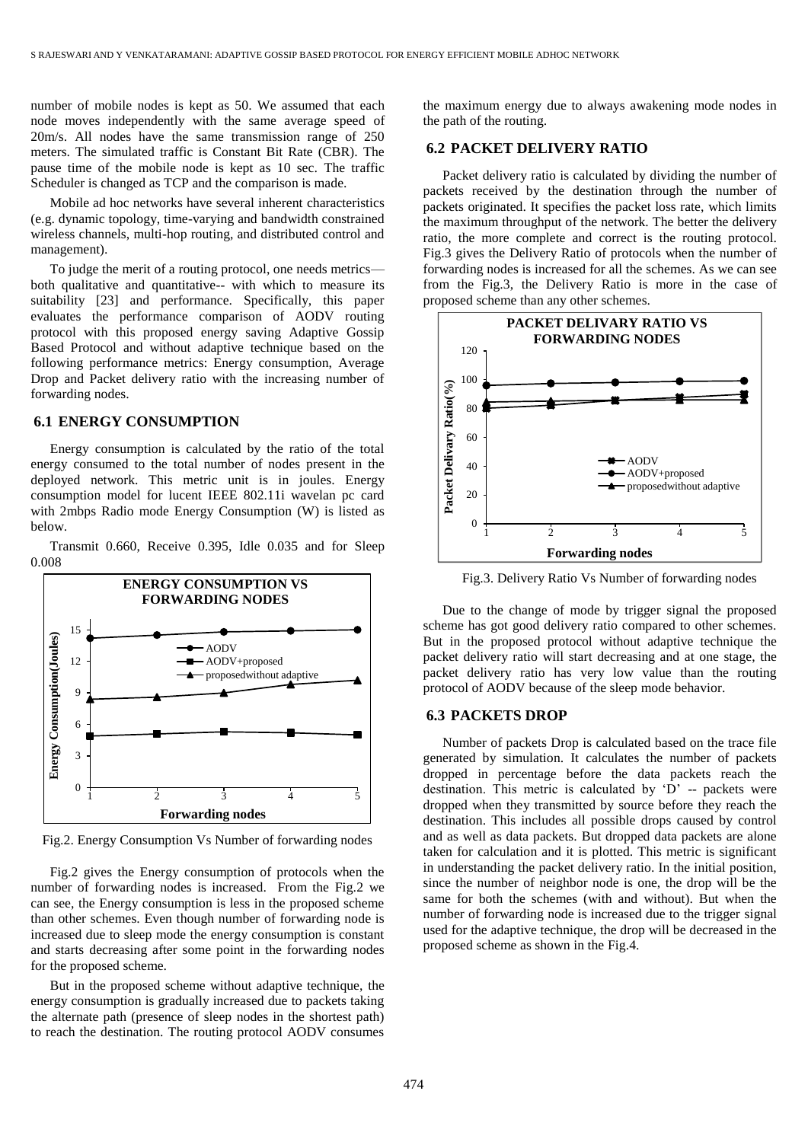number of mobile nodes is kept as 50. We assumed that each node moves independently with the same average speed of 20m/s. All nodes have the same transmission range of 250 meters. The simulated traffic is Constant Bit Rate (CBR). The pause time of the mobile node is kept as 10 sec. The traffic Scheduler is changed as TCP and the comparison is made.

Mobile ad hoc networks have several inherent characteristics (e.g. dynamic topology, time-varying and bandwidth constrained wireless channels, multi-hop routing, and distributed control and management).

To judge the merit of a routing protocol, one needs metrics both qualitative and quantitative-- with which to measure its suitability [23] and performance. Specifically, this paper evaluates the performance comparison of AODV routing protocol with this proposed energy saving Adaptive Gossip Based Protocol and without adaptive technique based on the following performance metrics: Energy consumption, Average Drop and Packet delivery ratio with the increasing number of forwarding nodes.

### **6.1 ENERGY CONSUMPTION**

Energy consumption is calculated by the ratio of the total energy consumed to the total number of nodes present in the deployed network. This metric unit is in joules. Energy consumption model for lucent IEEE 802.11i wavelan pc card with 2mbps Radio mode Energy Consumption (W) is listed as below.

Transmit 0.660, Receive 0.395, Idle 0.035 and for Sleep 0.008



Fig.2. Energy Consumption Vs Number of forwarding nodes

Fig.2 gives the Energy consumption of protocols when the number of forwarding nodes is increased. From the Fig.2 we can see, the Energy consumption is less in the proposed scheme than other schemes. Even though number of forwarding node is increased due to sleep mode the energy consumption is constant and starts decreasing after some point in the forwarding nodes for the proposed scheme.

But in the proposed scheme without adaptive technique, the energy consumption is gradually increased due to packets taking the alternate path (presence of sleep nodes in the shortest path) to reach the destination. The routing protocol AODV consumes

the maximum energy due to always awakening mode nodes in the path of the routing.

### **6.2 PACKET DELIVERY RATIO**

Packet delivery ratio is calculated by dividing the number of packets received by the destination through the number of packets originated. It specifies the packet loss rate, which limits the maximum throughput of the network. The better the delivery ratio, the more complete and correct is the routing protocol. Fig.3 gives the Delivery Ratio of protocols when the number of forwarding nodes is increased for all the schemes. As we can see from the Fig.3, the Delivery Ratio is more in the case of proposed scheme than any other schemes.



Fig.3. Delivery Ratio Vs Number of forwarding nodes

Due to the change of mode by trigger signal the proposed scheme has got good delivery ratio compared to other schemes. But in the proposed protocol without adaptive technique the packet delivery ratio will start decreasing and at one stage, the packet delivery ratio has very low value than the routing protocol of AODV because of the sleep mode behavior.

#### **6.3 PACKETS DROP**

Number of packets Drop is calculated based on the trace file generated by simulation. It calculates the number of packets dropped in percentage before the data packets reach the destination. This metric is calculated by 'D' -- packets were dropped when they transmitted by source before they reach the destination. This includes all possible drops caused by control and as well as data packets. But dropped data packets are alone taken for calculation and it is plotted. This metric is significant in understanding the packet delivery ratio. In the initial position, since the number of neighbor node is one, the drop will be the same for both the schemes (with and without). But when the number of forwarding node is increased due to the trigger signal used for the adaptive technique, the drop will be decreased in the proposed scheme as shown in the Fig.4.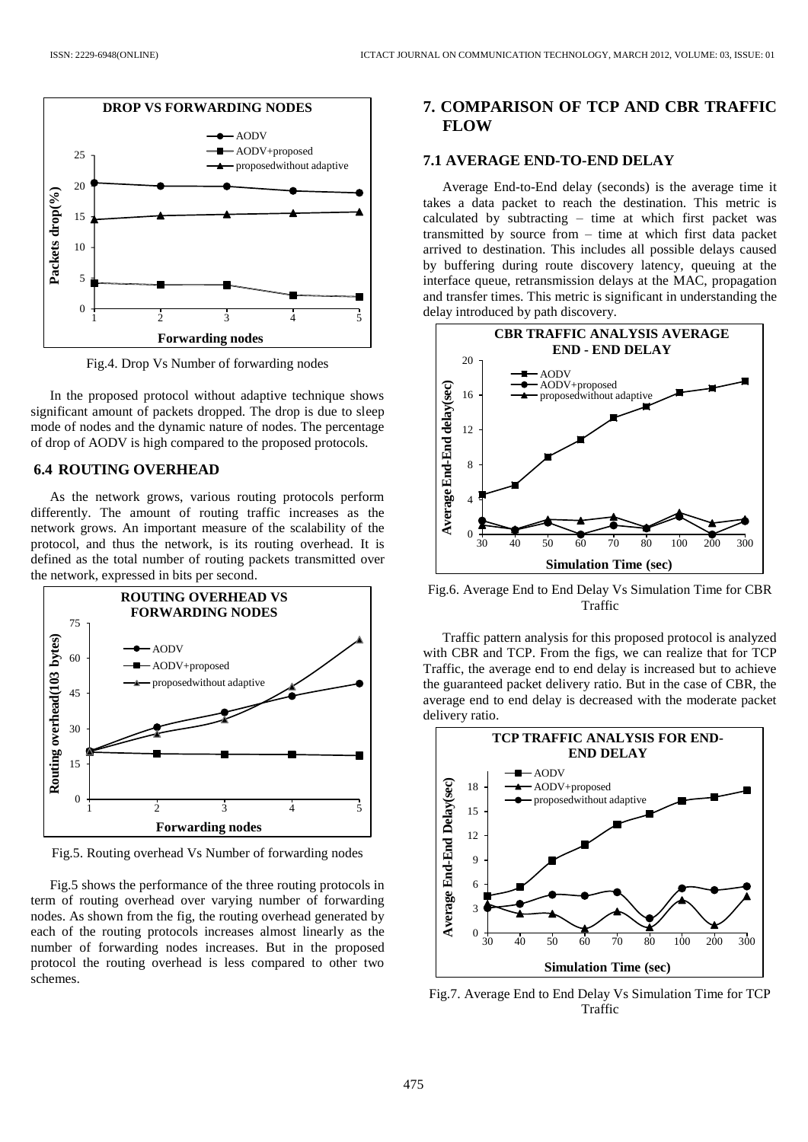

Fig.4. Drop Vs Number of forwarding nodes

In the proposed protocol without adaptive technique shows significant amount of packets dropped. The drop is due to sleep mode of nodes and the dynamic nature of nodes. The percentage of drop of AODV is high compared to the proposed protocols.

## **6.4 ROUTING OVERHEAD**

As the network grows, various routing protocols perform differently. The amount of routing traffic increases as the network grows. An important measure of the scalability of the protocol, and thus the network, is its routing overhead. It is defined as the total number of routing packets transmitted over the network, expressed in bits per second.



Fig.5. Routing overhead Vs Number of forwarding nodes

Fig.5 shows the performance of the three routing protocols in term of routing overhead over varying number of forwarding nodes. As shown from the fig, the routing overhead generated by each of the routing protocols increases almost linearly as the number of forwarding nodes increases. But in the proposed protocol the routing overhead is less compared to other two schemes.

## **7. COMPARISON OF TCP AND CBR TRAFFIC FLOW**

#### **7.1 AVERAGE END-TO-END DELAY**

Average End-to-End delay (seconds) is the average time it takes a data packet to reach the destination. This metric is calculated by subtracting – time at which first packet was transmitted by source from – time at which first data packet arrived to destination. This includes all possible delays caused by buffering during route discovery latency, queuing at the interface queue, retransmission delays at the MAC, propagation and transfer times. This metric is significant in understanding the delay introduced by path discovery.



Fig.6. Average End to End Delay Vs Simulation Time for CBR Traffic

Traffic pattern analysis for this proposed protocol is analyzed with CBR and TCP. From the figs, we can realize that for TCP Traffic, the average end to end delay is increased but to achieve the guaranteed packet delivery ratio. But in the case of CBR, the average end to end delay is decreased with the moderate packet delivery ratio.



Fig.7. Average End to End Delay Vs Simulation Time for TCP Traffic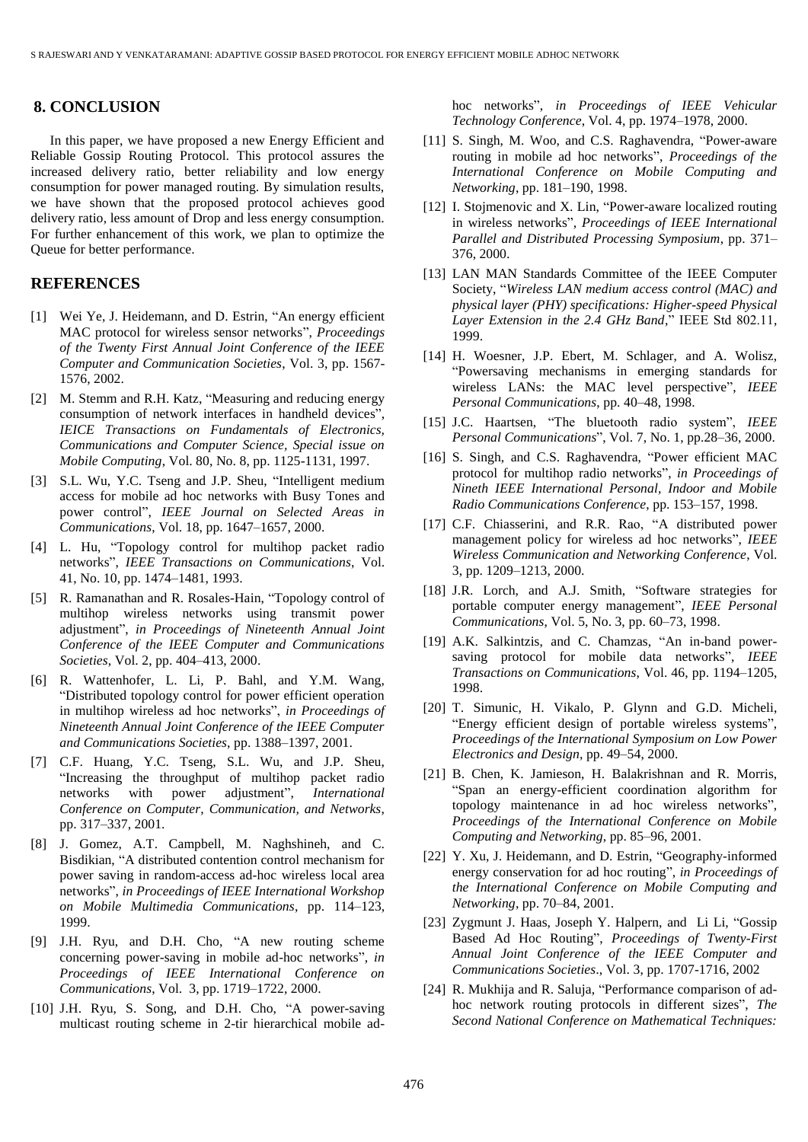## **8. CONCLUSION**

In this paper, we have proposed a new Energy Efficient and Reliable Gossip Routing Protocol. This protocol assures the increased delivery ratio, better reliability and low energy consumption for power managed routing. By simulation results, we have shown that the proposed protocol achieves good delivery ratio, less amount of Drop and less energy consumption. For further enhancement of this work, we plan to optimize the Queue for better performance.

### **REFERENCES**

- [1] Wei Ye, J. Heidemann, and D. Estrin, "An energy efficient MAC protocol for wireless sensor networks", *Proceedings of the Twenty First Annual Joint Conference of the IEEE Computer and Communication Societies*, Vol. 3, pp. 1567- 1576, 2002.
- [2] M. Stemm and R.H. Katz, "Measuring and reducing energy consumption of network interfaces in handheld devices", *IEICE Transactions on Fundamentals of Electronics, Communications and Computer Science, Special issue on Mobile Computing*, Vol. 80, No. 8, pp. 1125-1131, 1997.
- [3] S.L. Wu, Y.C. Tseng and J.P. Sheu, "Intelligent medium access for mobile ad hoc networks with Busy Tones and power control", *IEEE Journal on Selected Areas in Communications*, Vol. 18, pp. 1647–1657, 2000.
- [4] L. Hu, "Topology control for multihop packet radio networks", *IEEE Transactions on Communications*, Vol. 41, No. 10, pp. 1474–1481, 1993.
- [5] R. Ramanathan and R. Rosales-Hain, "Topology control of multihop wireless networks using transmit power adjustment", *in Proceedings of Nineteenth Annual Joint Conference of the IEEE Computer and Communications Societies*, Vol. 2, pp. 404–413, 2000.
- [6] R. Wattenhofer, L. Li, P. Bahl, and Y.M. Wang, "Distributed topology control for power efficient operation in multihop wireless ad hoc networks", *in Proceedings of Nineteenth Annual Joint Conference of the IEEE Computer and Communications Societies*, pp. 1388–1397, 2001.
- [7] C.F. Huang, Y.C. Tseng, S.L. Wu, and J.P. Sheu, "Increasing the throughput of multihop packet radio networks with power adjustment", *International Conference on Computer, Communication, and Networks*, pp. 317–337, 2001.
- [8] J. Gomez, A.T. Campbell, M. Naghshineh, and C. Bisdikian, "A distributed contention control mechanism for power saving in random-access ad-hoc wireless local area networks", *in Proceedings of IEEE International Workshop on Mobile Multimedia Communications*, pp. 114–123, 1999.
- [9] J.H. Ryu, and D.H. Cho, "A new routing scheme concerning power-saving in mobile ad-hoc networks", *in Proceedings of IEEE International Conference on Communications*, Vol. 3, pp. 1719–1722, 2000.
- [10] J.H. Ryu, S. Song, and D.H. Cho, "A power-saving multicast routing scheme in 2-tir hierarchical mobile ad-

hoc networks", *in Proceedings of IEEE Vehicular Technology Conference*, Vol. 4, pp. 1974–1978, 2000.

- [11] S. Singh, M. Woo, and C.S. Raghavendra, "Power-aware routing in mobile ad hoc networks", *Proceedings of the International Conference on Mobile Computing and Networking*, pp. 181–190, 1998.
- [12] I. Stojmenovic and X. Lin, "Power-aware localized routing in wireless networks", *Proceedings of IEEE International Parallel and Distributed Processing Symposium*, pp. 371– 376, 2000.
- [13] LAN MAN Standards Committee of the IEEE Computer Society, "*Wireless LAN medium access control (MAC) and physical layer (PHY) specifications: Higher-speed Physical Layer Extension in the 2.4 GHz Band*," IEEE Std 802.11, 1999.
- [14] H. Woesner, J.P. Ebert, M. Schlager, and A. Wolisz, "Powersaving mechanisms in emerging standards for wireless LANs: the MAC level perspective", *IEEE Personal Communications*, pp. 40–48, 1998.
- [15] J.C. Haartsen, "The bluetooth radio system", *IEEE Personal Communications*", Vol. 7, No. 1, pp.28–36, 2000.
- [16] S. Singh, and C.S. Raghavendra, "Power efficient MAC protocol for multihop radio networks", *in Proceedings of Nineth IEEE International Personal, Indoor and Mobile Radio Communications Conference*, pp. 153–157, 1998.
- [17] C.F. Chiasserini, and R.R. Rao, "A distributed power management policy for wireless ad hoc networks", *IEEE Wireless Communication and Networking Conference*, Vol. 3, pp. 1209–1213, 2000.
- [18] J.R. Lorch, and A.J. Smith, "Software strategies for portable computer energy management", *IEEE Personal Communications*, Vol. 5, No. 3, pp. 60–73, 1998.
- [19] A.K. Salkintzis, and C. Chamzas, "An in-band powersaving protocol for mobile data networks", *IEEE Transactions on Communications*, Vol. 46, pp. 1194–1205, 1998.
- [20] T. Simunic, H. Vikalo, P. Glynn and G.D. Micheli, "Energy efficient design of portable wireless systems", *Proceedings of the International Symposium on Low Power Electronics and Design*, pp. 49–54, 2000.
- [21] B. Chen, K. Jamieson, H. Balakrishnan and R. Morris, "Span an energy-efficient coordination algorithm for topology maintenance in ad hoc wireless networks", *Proceedings of the International Conference on Mobile Computing and Networking*, pp. 85–96, 2001.
- [22] Y. Xu, J. Heidemann, and D. Estrin, "Geography-informed energy conservation for ad hoc routing", *in Proceedings of the International Conference on Mobile Computing and Networking*, pp. 70–84, 2001.
- [23] Zygmunt J. Haas, Joseph Y. Halpern, and Li Li, "Gossip Based Ad Hoc Routing", *Proceedings of Twenty-First Annual Joint Conference of the IEEE Computer and Communications Societies*., Vol. 3, pp. 1707-1716, 2002
- [24] R. Mukhija and R. Saluja, "Performance comparison of adhoc network routing protocols in different sizes", *The Second National Conference on Mathematical Techniques:*